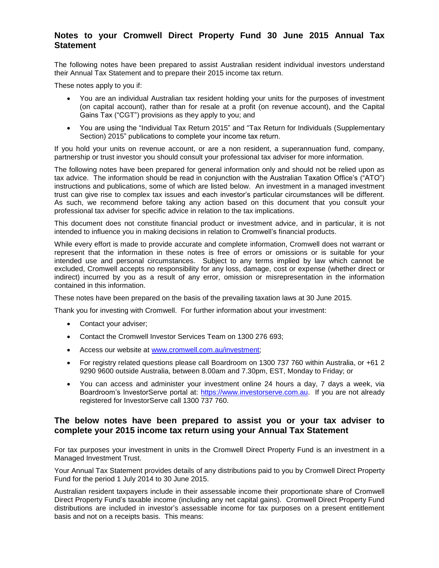# **Notes to your Cromwell Direct Property Fund 30 June 2015 Annual Tax Statement**

The following notes have been prepared to assist Australian resident individual investors understand their Annual Tax Statement and to prepare their 2015 income tax return.

These notes apply to you if:

- You are an individual Australian tax resident holding your units for the purposes of investment (on capital account), rather than for resale at a profit (on revenue account), and the Capital Gains Tax ("CGT") provisions as they apply to you; and
- You are using the "Individual Tax Return 2015" and "Tax Return for Individuals (Supplementary Section) 2015" publications to complete your income tax return.

If you hold your units on revenue account, or are a non resident, a superannuation fund, company, partnership or trust investor you should consult your professional tax adviser for more information.

The following notes have been prepared for general information only and should not be relied upon as tax advice. The information should be read in conjunction with the Australian Taxation Office's ("ATO") instructions and publications, some of which are listed below. An investment in a managed investment trust can give rise to complex tax issues and each investor's particular circumstances will be different. As such, we recommend before taking any action based on this document that you consult your professional tax adviser for specific advice in relation to the tax implications.

This document does not constitute financial product or investment advice, and in particular, it is not intended to influence you in making decisions in relation to Cromwell's financial products.

While every effort is made to provide accurate and complete information, Cromwell does not warrant or represent that the information in these notes is free of errors or omissions or is suitable for your intended use and personal circumstances. Subject to any terms implied by law which cannot be excluded, Cromwell accepts no responsibility for any loss, damage, cost or expense (whether direct or indirect) incurred by you as a result of any error, omission or misrepresentation in the information contained in this information.

These notes have been prepared on the basis of the prevailing taxation laws at 30 June 2015.

Thank you for investing with Cromwell. For further information about your investment:

- Contact your adviser;
- Contact the Cromwell Investor Services Team on 1300 276 693;
- Access our website at [www.cromwell.com.au/investment;](http://www.cromwell.com.au/investment)
- For registry related questions please call Boardroom on 1300 737 760 within Australia, or +61 2 9290 9600 outside Australia, between 8.00am and 7.30pm, EST, Monday to Friday; or
- You can access and administer your investment online 24 hours a day, 7 days a week, via Boardroom's InvestorServe portal at: [https://www.investorserve.com.au.](https://www.investorserve.com.au/) If you are not already registered for InvestorServe call 1300 737 760.

## **The below notes have been prepared to assist you or your tax adviser to complete your 2015 income tax return using your Annual Tax Statement**

For tax purposes your investment in units in the Cromwell Direct Property Fund is an investment in a Managed Investment Trust.

Your Annual Tax Statement provides details of any distributions paid to you by Cromwell Direct Property Fund for the period 1 July 2014 to 30 June 2015.

Australian resident taxpayers include in their assessable income their proportionate share of Cromwell Direct Property Fund's taxable income (including any net capital gains). Cromwell Direct Property Fund distributions are included in investor's assessable income for tax purposes on a present entitlement basis and not on a receipts basis. This means: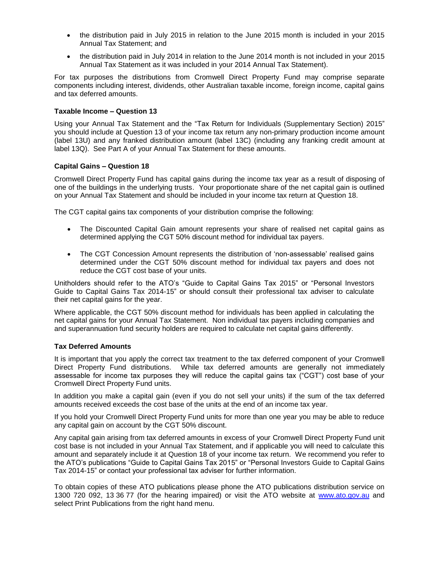- the distribution paid in July 2015 in relation to the June 2015 month is included in your 2015 Annual Tax Statement; and
- the distribution paid in July 2014 in relation to the June 2014 month is not included in your 2015 Annual Tax Statement as it was included in your 2014 Annual Tax Statement).

For tax purposes the distributions from Cromwell Direct Property Fund may comprise separate components including interest, dividends, other Australian taxable income, foreign income, capital gains and tax deferred amounts.

#### **Taxable Income – Question 13**

Using your Annual Tax Statement and the "Tax Return for Individuals (Supplementary Section) 2015" you should include at Question 13 of your income tax return any non-primary production income amount (label 13U) and any franked distribution amount (label 13C) (including any franking credit amount at label 13Q). See Part A of your Annual Tax Statement for these amounts.

### **Capital Gains – Question 18**

Cromwell Direct Property Fund has capital gains during the income tax year as a result of disposing of one of the buildings in the underlying trusts. Your proportionate share of the net capital gain is outlined on your Annual Tax Statement and should be included in your income tax return at Question 18.

The CGT capital gains tax components of your distribution comprise the following:

- The Discounted Capital Gain amount represents your share of realised net capital gains as determined applying the CGT 50% discount method for individual tax payers.
- The CGT Concession Amount represents the distribution of 'non-assessable' realised gains determined under the CGT 50% discount method for individual tax payers and does not reduce the CGT cost base of your units.

Unitholders should refer to the ATO's "Guide to Capital Gains Tax 2015" or "Personal Investors Guide to Capital Gains Tax 2014-15" or should consult their professional tax adviser to calculate their net capital gains for the year.

Where applicable, the CGT 50% discount method for individuals has been applied in calculating the net capital gains for your Annual Tax Statement. Non individual tax payers including companies and and superannuation fund security holders are required to calculate net capital gains differently.

#### **Tax Deferred Amounts**

It is important that you apply the correct tax treatment to the tax deferred component of your Cromwell Direct Property Fund distributions. While tax deferred amounts are generally not immediately assessable for income tax purposes they will reduce the capital gains tax ("CGT") cost base of your Cromwell Direct Property Fund units.

In addition you make a capital gain (even if you do not sell your units) if the sum of the tax deferred amounts received exceeds the cost base of the units at the end of an income tax year.

If you hold your Cromwell Direct Property Fund units for more than one year you may be able to reduce any capital gain on account by the CGT 50% discount.

Any capital gain arising from tax deferred amounts in excess of your Cromwell Direct Property Fund unit cost base is not included in your Annual Tax Statement, and if applicable you will need to calculate this amount and separately include it at Question 18 of your income tax return. We recommend you refer to the ATO's publications "Guide to Capital Gains Tax 2015" or "Personal Investors Guide to Capital Gains Tax 2014-15" or contact your professional tax adviser for further information.

To obtain copies of these ATO publications please phone the ATO publications distribution service on 1300 720 092, 13 36 77 (for the hearing impaired) or visit the ATO website at [www.ato.gov.au](http://www.ato.gov.au/) and select Print Publications from the right hand menu.